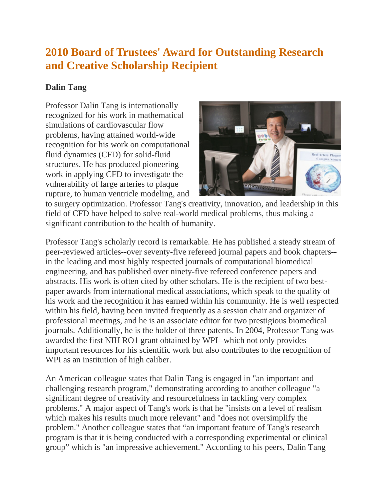## **2010 Board of Trustees' Award for Outstanding Research and Creative Scholarship Recipient**

## **Dalin Tang**

Professor Dalin Tang is internationally recognized for his work in mathematical simulations of cardiovascular flow problems, having attained world-wide recognition for his work on computational fluid dynamics (CFD) for solid-fluid structures. He has produced pioneering work in applying CFD to investigate the vulnerability of large arteries to plaque rupture, to human ventricle modeling, and

![](_page_0_Picture_3.jpeg)

to surgery optimization. Professor Tang's creativity, innovation, and leadership in this field of CFD have helped to solve real-world medical problems, thus making a significant contribution to the health of humanity.

Professor Tang's scholarly record is remarkable. He has published a steady stream of peer-reviewed articles--over seventy-five refereed journal papers and book chapters- in the leading and most highly respected journals of computational biomedical engineering, and has published over ninety-five refereed conference papers and abstracts. His work is often cited by other scholars. He is the recipient of two bestpaper awards from international medical associations, which speak to the quality of his work and the recognition it has earned within his community. He is well respected within his field, having been invited frequently as a session chair and organizer of professional meetings, and he is an associate editor for two prestigious biomedical journals. Additionally, he is the holder of three patents. In 2004, Professor Tang was awarded the first NIH RO1 grant obtained by WPI--which not only provides important resources for his scientific work but also contributes to the recognition of WPI as an institution of high caliber.

An American colleague states that Dalin Tang is engaged in "an important and challenging research program," demonstrating according to another colleague "a significant degree of creativity and resourcefulness in tackling very complex problems." A major aspect of Tang's work is that he "insists on a level of realism which makes his results much more relevant" and "does not oversimplify the problem." Another colleague states that "an important feature of Tang's research program is that it is being conducted with a corresponding experimental or clinical group" which is "an impressive achievement." According to his peers, Dalin Tang